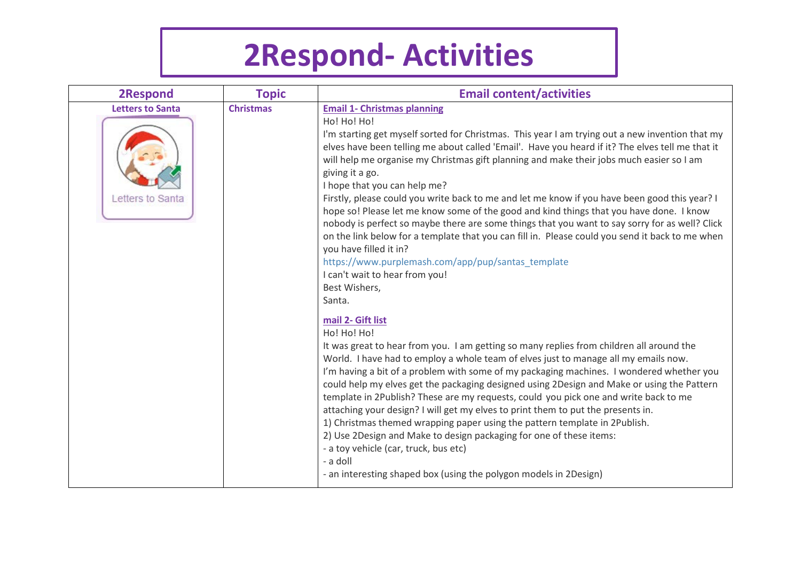## **2Respond- Activities**

| <b>2Respond</b>                             | <b>Topic</b>     | <b>Email content/activities</b>                                                                                                                                                                                                                                                                                                                                                                                                                                                                                                                                                                                                                                                                                                                                                                                                                                                                                                                                                                                                                                                                                                                                                                                                                                                                                                                                                                                                                                                                                                                                                                                                                                                                                                                              |
|---------------------------------------------|------------------|--------------------------------------------------------------------------------------------------------------------------------------------------------------------------------------------------------------------------------------------------------------------------------------------------------------------------------------------------------------------------------------------------------------------------------------------------------------------------------------------------------------------------------------------------------------------------------------------------------------------------------------------------------------------------------------------------------------------------------------------------------------------------------------------------------------------------------------------------------------------------------------------------------------------------------------------------------------------------------------------------------------------------------------------------------------------------------------------------------------------------------------------------------------------------------------------------------------------------------------------------------------------------------------------------------------------------------------------------------------------------------------------------------------------------------------------------------------------------------------------------------------------------------------------------------------------------------------------------------------------------------------------------------------------------------------------------------------------------------------------------------------|
| <b>Letters to Santa</b><br>Letters to Santa | <b>Christmas</b> | <b>Email 1- Christmas planning</b><br>Ho! Ho! Ho!<br>I'm starting get myself sorted for Christmas. This year I am trying out a new invention that my<br>elves have been telling me about called 'Email'. Have you heard if it? The elves tell me that it<br>will help me organise my Christmas gift planning and make their jobs much easier so I am<br>giving it a go.<br>I hope that you can help me?<br>Firstly, please could you write back to me and let me know if you have been good this year? I<br>hope so! Please let me know some of the good and kind things that you have done. I know<br>nobody is perfect so maybe there are some things that you want to say sorry for as well? Click<br>on the link below for a template that you can fill in. Please could you send it back to me when<br>you have filled it in?<br>https://www.purplemash.com/app/pup/santas_template<br>I can't wait to hear from you!<br>Best Wishers,<br>Santa.<br>mail 2- Gift list<br>Ho! Ho! Ho!<br>It was great to hear from you. I am getting so many replies from children all around the<br>World. I have had to employ a whole team of elves just to manage all my emails now.<br>I'm having a bit of a problem with some of my packaging machines. I wondered whether you<br>could help my elves get the packaging designed using 2Design and Make or using the Pattern<br>template in 2Publish? These are my requests, could you pick one and write back to me<br>attaching your design? I will get my elves to print them to put the presents in.<br>1) Christmas themed wrapping paper using the pattern template in 2Publish.<br>2) Use 2Design and Make to design packaging for one of these items:<br>- a toy vehicle (car, truck, bus etc)<br>- a doll |
|                                             |                  | - an interesting shaped box (using the polygon models in 2Design)                                                                                                                                                                                                                                                                                                                                                                                                                                                                                                                                                                                                                                                                                                                                                                                                                                                                                                                                                                                                                                                                                                                                                                                                                                                                                                                                                                                                                                                                                                                                                                                                                                                                                            |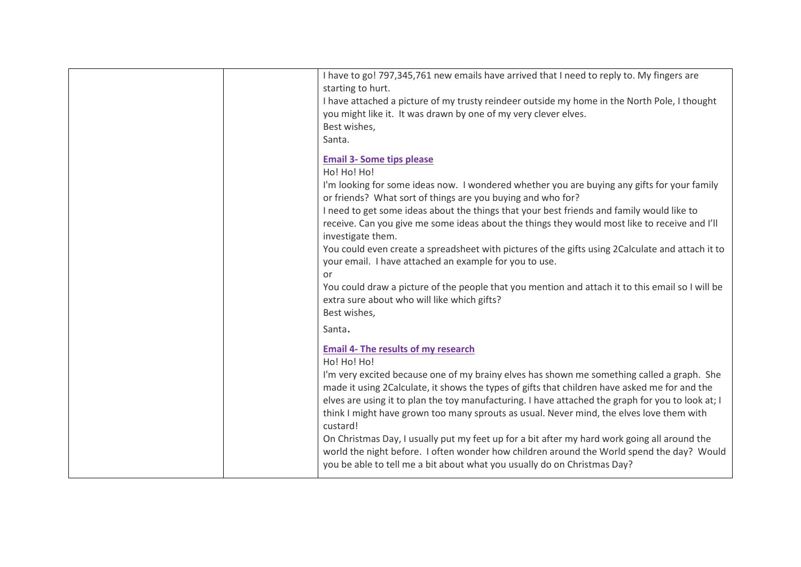|  | I have to go! 797,345,761 new emails have arrived that I need to reply to. My fingers are<br>starting to hurt.<br>I have attached a picture of my trusty reindeer outside my home in the North Pole, I thought<br>you might like it. It was drawn by one of my very clever elves.<br>Best wishes,<br>Santa.                                                                                                                                                                                                                                                                                                                                                                                                                                                                       |
|--|-----------------------------------------------------------------------------------------------------------------------------------------------------------------------------------------------------------------------------------------------------------------------------------------------------------------------------------------------------------------------------------------------------------------------------------------------------------------------------------------------------------------------------------------------------------------------------------------------------------------------------------------------------------------------------------------------------------------------------------------------------------------------------------|
|  | <b>Email 3- Some tips please</b><br>Ho! Ho! Ho!<br>I'm looking for some ideas now. I wondered whether you are buying any gifts for your family<br>or friends? What sort of things are you buying and who for?<br>I need to get some ideas about the things that your best friends and family would like to<br>receive. Can you give me some ideas about the things they would most like to receive and I'll<br>investigate them.<br>You could even create a spreadsheet with pictures of the gifts using 2Calculate and attach it to<br>your email. I have attached an example for you to use.<br>or<br>You could draw a picture of the people that you mention and attach it to this email so I will be<br>extra sure about who will like which gifts?<br>Best wishes,<br>Santa. |
|  | <b>Email 4- The results of my research</b><br>Ho! Ho! Ho!<br>I'm very excited because one of my brainy elves has shown me something called a graph. She<br>made it using 2Calculate, it shows the types of gifts that children have asked me for and the<br>elves are using it to plan the toy manufacturing. I have attached the graph for you to look at; I<br>think I might have grown too many sprouts as usual. Never mind, the elves love them with<br>custard!<br>On Christmas Day, I usually put my feet up for a bit after my hard work going all around the<br>world the night before. I often wonder how children around the World spend the day? Would<br>you be able to tell me a bit about what you usually do on Christmas Day?                                    |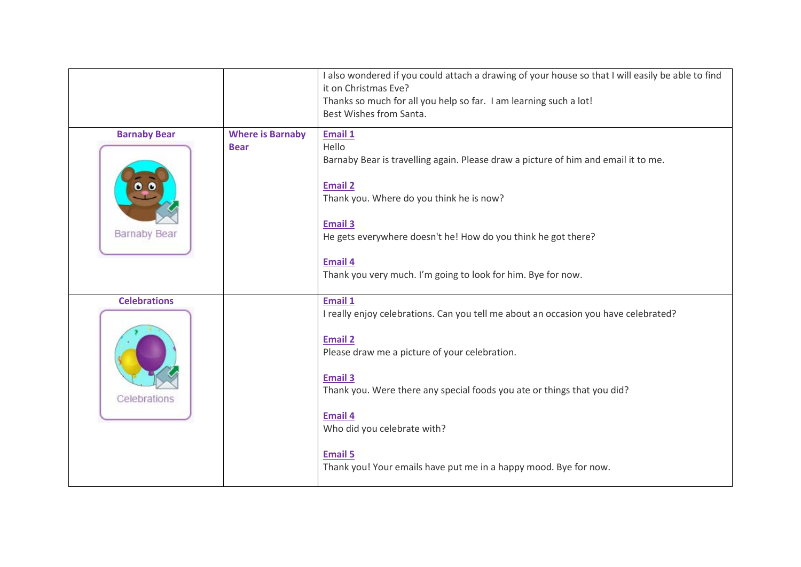|                                            |                                        | I also wondered if you could attach a drawing of your house so that I will easily be able to find<br>it on Christmas Eve?<br>Thanks so much for all you help so far. I am learning such a lot!<br>Best Wishes from Santa.                                                                                                                                                                             |
|--------------------------------------------|----------------------------------------|-------------------------------------------------------------------------------------------------------------------------------------------------------------------------------------------------------------------------------------------------------------------------------------------------------------------------------------------------------------------------------------------------------|
| <b>Barnaby Bear</b><br><b>Barnaby Bear</b> | <b>Where is Barnaby</b><br><b>Bear</b> | <b>Email 1</b><br>Hello<br>Barnaby Bear is travelling again. Please draw a picture of him and email it to me.<br><b>Email 2</b><br>Thank you. Where do you think he is now?<br><b>Email 3</b><br>He gets everywhere doesn't he! How do you think he got there?<br><b>Email 4</b><br>Thank you very much. I'm going to look for him. Bye for now.                                                      |
| <b>Celebrations</b><br>Celebrations        |                                        | Email 1<br>I really enjoy celebrations. Can you tell me about an occasion you have celebrated?<br><b>Email 2</b><br>Please draw me a picture of your celebration.<br><b>Email 3</b><br>Thank you. Were there any special foods you ate or things that you did?<br><b>Email 4</b><br>Who did you celebrate with?<br><b>Email 5</b><br>Thank you! Your emails have put me in a happy mood. Bye for now. |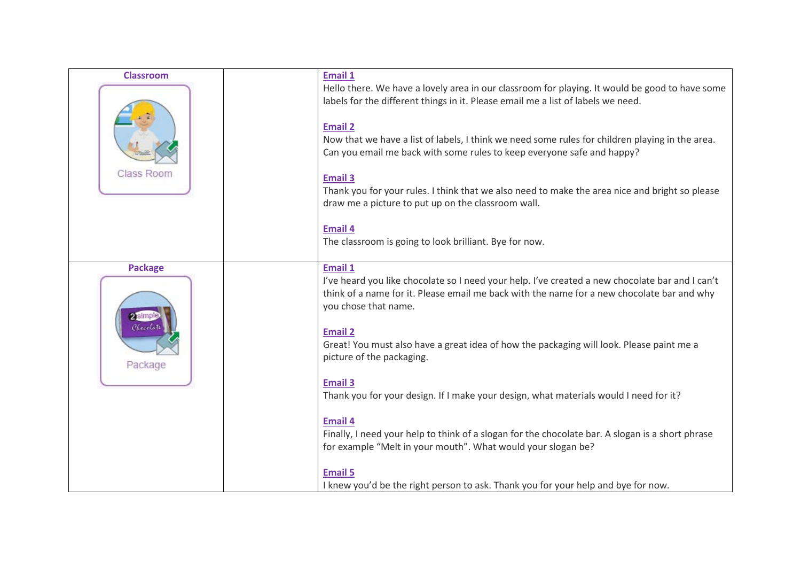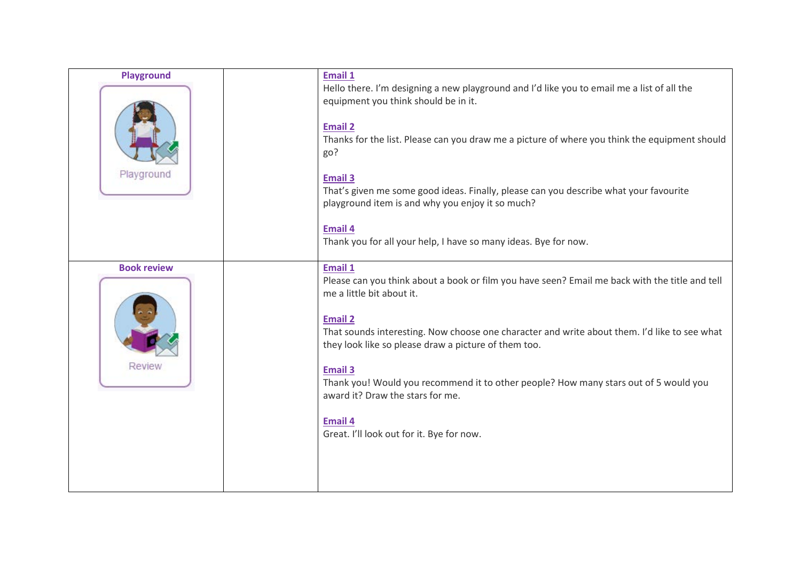| <b>Playground</b><br>Playground | Email 1<br>Hello there. I'm designing a new playground and I'd like you to email me a list of all the<br>equipment you think should be in it.<br><b>Email 2</b><br>Thanks for the list. Please can you draw me a picture of where you think the equipment should<br>go?<br><b>Email 3</b><br>That's given me some good ideas. Finally, please can you describe what your favourite<br>playground item is and why you enjoy it so much? |
|---------------------------------|----------------------------------------------------------------------------------------------------------------------------------------------------------------------------------------------------------------------------------------------------------------------------------------------------------------------------------------------------------------------------------------------------------------------------------------|
| <b>Book review</b>              | <b>Email 4</b><br>Thank you for all your help, I have so many ideas. Bye for now.<br>Email 1<br>Please can you think about a book or film you have seen? Email me back with the title and tell<br>me a little bit about it.<br><b>Email 2</b><br>That sounds interesting. Now choose one character and write about them. I'd like to see what<br>they look like so please draw a picture of them too.                                  |
| Review                          | <b>Email 3</b><br>Thank you! Would you recommend it to other people? How many stars out of 5 would you<br>award it? Draw the stars for me.<br><b>Email 4</b><br>Great. I'll look out for it. Bye for now.                                                                                                                                                                                                                              |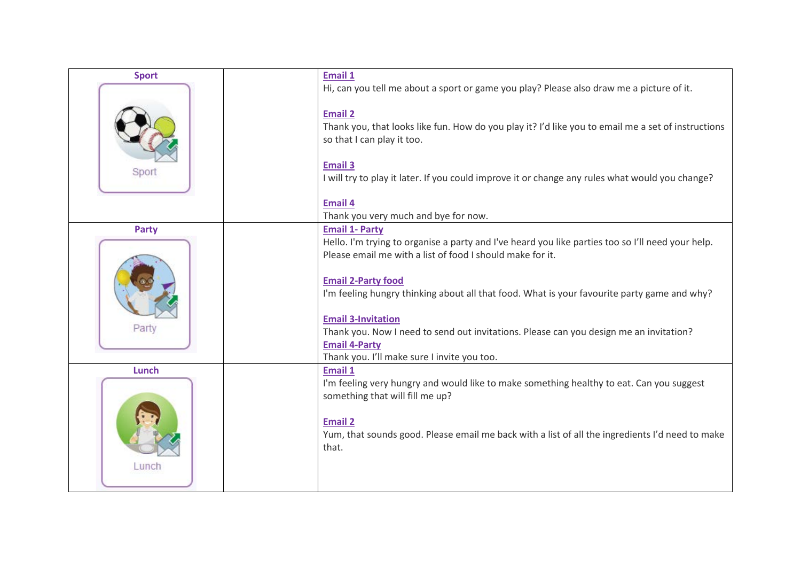| <b>Sport</b> | <b>Email 1</b>                                                                                                                                                                                                                                                                                                                                                                      |
|--------------|-------------------------------------------------------------------------------------------------------------------------------------------------------------------------------------------------------------------------------------------------------------------------------------------------------------------------------------------------------------------------------------|
|              | Hi, can you tell me about a sport or game you play? Please also draw me a picture of it.                                                                                                                                                                                                                                                                                            |
| Sport        | <b>Email 2</b><br>Thank you, that looks like fun. How do you play it? I'd like you to email me a set of instructions<br>so that I can play it too.<br><b>Email 3</b><br>I will try to play it later. If you could improve it or change any rules what would you change?                                                                                                             |
|              | <b>Email 4</b>                                                                                                                                                                                                                                                                                                                                                                      |
|              | Thank you very much and bye for now.                                                                                                                                                                                                                                                                                                                                                |
| <b>Party</b> | <b>Email 1- Party</b>                                                                                                                                                                                                                                                                                                                                                               |
|              | Hello. I'm trying to organise a party and I've heard you like parties too so I'll need your help.                                                                                                                                                                                                                                                                                   |
| Party        | Please email me with a list of food I should make for it.<br><b>Email 2-Party food</b><br>I'm feeling hungry thinking about all that food. What is your favourite party game and why?<br><b>Email 3-Invitation</b><br>Thank you. Now I need to send out invitations. Please can you design me an invitation?<br><b>Email 4-Party</b><br>Thank you. I'll make sure I invite you too. |
| Lunch        | Email 1                                                                                                                                                                                                                                                                                                                                                                             |
| Lunch        | I'm feeling very hungry and would like to make something healthy to eat. Can you suggest<br>something that will fill me up?<br><b>Email 2</b><br>Yum, that sounds good. Please email me back with a list of all the ingredients I'd need to make<br>that.                                                                                                                           |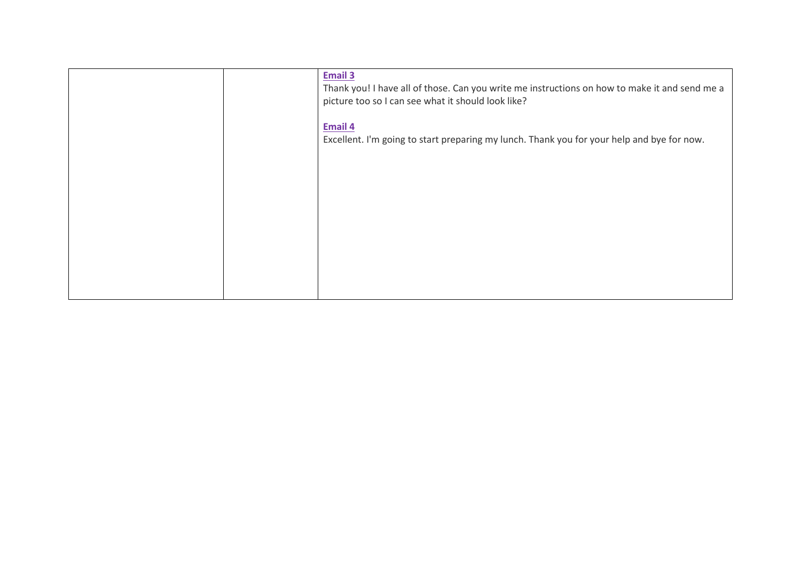|  | <b>Email 3</b><br>Thank you! I have all of those. Can you write me instructions on how to make it and send me a<br>picture too so I can see what it should look like? |
|--|-----------------------------------------------------------------------------------------------------------------------------------------------------------------------|
|  | Email 4<br>Excellent. I'm going to start preparing my lunch. Thank you for your help and bye for now.                                                                 |
|  |                                                                                                                                                                       |
|  |                                                                                                                                                                       |
|  |                                                                                                                                                                       |
|  |                                                                                                                                                                       |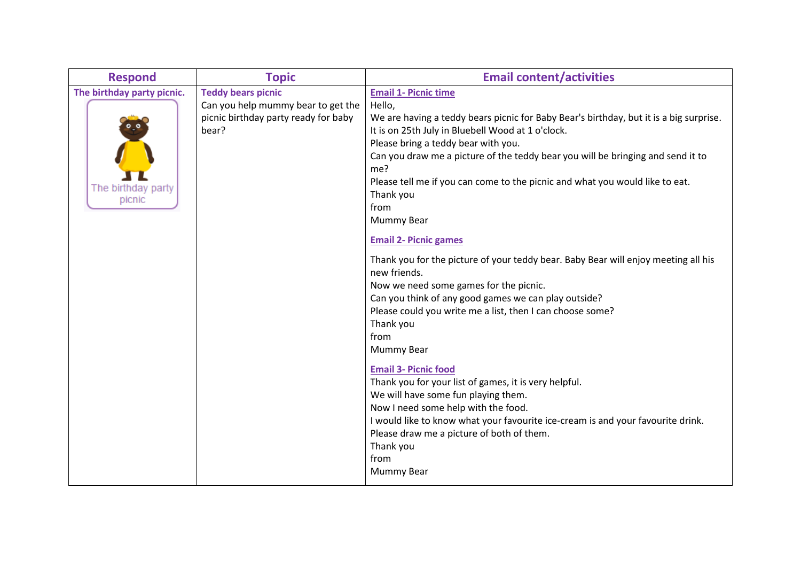| <b>Respond</b>                                             | <b>Topic</b>                                                                                                     | <b>Email content/activities</b>                                                                                                                                                                                                                                                                                                                                                                                                                                                                                                                                                                                                                                                                                                                                                                                                                                                                                                                                                                                                                                                                                           |
|------------------------------------------------------------|------------------------------------------------------------------------------------------------------------------|---------------------------------------------------------------------------------------------------------------------------------------------------------------------------------------------------------------------------------------------------------------------------------------------------------------------------------------------------------------------------------------------------------------------------------------------------------------------------------------------------------------------------------------------------------------------------------------------------------------------------------------------------------------------------------------------------------------------------------------------------------------------------------------------------------------------------------------------------------------------------------------------------------------------------------------------------------------------------------------------------------------------------------------------------------------------------------------------------------------------------|
| The birthday party picnic.<br>The birthday party<br>picnic | <b>Teddy bears picnic</b><br>Can you help mummy bear to get the<br>picnic birthday party ready for baby<br>bear? | <b>Email 1- Picnic time</b><br>Hello,<br>We are having a teddy bears picnic for Baby Bear's birthday, but it is a big surprise.<br>It is on 25th July in Bluebell Wood at 1 o'clock.<br>Please bring a teddy bear with you.<br>Can you draw me a picture of the teddy bear you will be bringing and send it to<br>me?<br>Please tell me if you can come to the picnic and what you would like to eat.<br>Thank you<br>from<br><b>Mummy Bear</b><br><b>Email 2- Picnic games</b><br>Thank you for the picture of your teddy bear. Baby Bear will enjoy meeting all his<br>new friends.<br>Now we need some games for the picnic.<br>Can you think of any good games we can play outside?<br>Please could you write me a list, then I can choose some?<br>Thank you<br>from<br><b>Mummy Bear</b><br><b>Email 3- Picnic food</b><br>Thank you for your list of games, it is very helpful.<br>We will have some fun playing them.<br>Now I need some help with the food.<br>I would like to know what your favourite ice-cream is and your favourite drink.<br>Please draw me a picture of both of them.<br>Thank you<br>from |
|                                                            |                                                                                                                  | Mummy Bear                                                                                                                                                                                                                                                                                                                                                                                                                                                                                                                                                                                                                                                                                                                                                                                                                                                                                                                                                                                                                                                                                                                |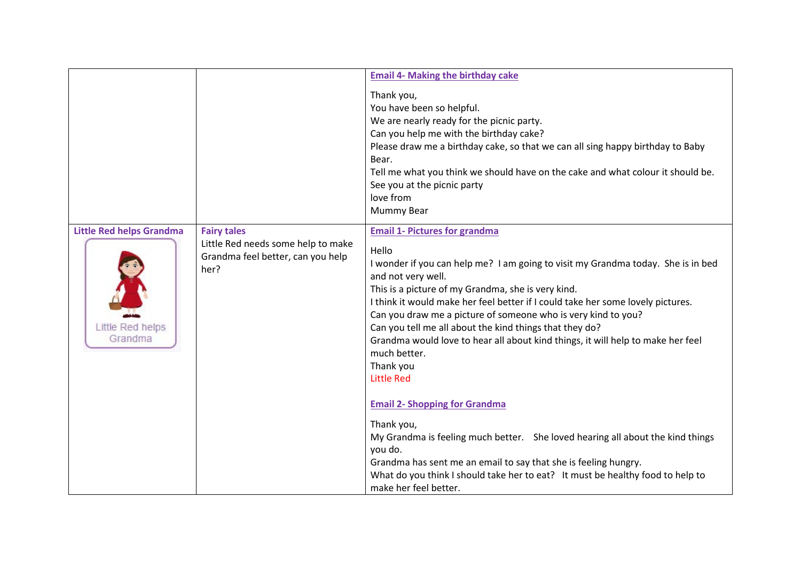|                                                                |                                                                                                       | <b>Email 4- Making the birthday cake</b>                                                                                                                                                                                                                                                                                                                                                                                                                                                                                                                                                                                                                                                                                                                                                |
|----------------------------------------------------------------|-------------------------------------------------------------------------------------------------------|-----------------------------------------------------------------------------------------------------------------------------------------------------------------------------------------------------------------------------------------------------------------------------------------------------------------------------------------------------------------------------------------------------------------------------------------------------------------------------------------------------------------------------------------------------------------------------------------------------------------------------------------------------------------------------------------------------------------------------------------------------------------------------------------|
|                                                                |                                                                                                       | Thank you,<br>You have been so helpful.<br>We are nearly ready for the picnic party.<br>Can you help me with the birthday cake?<br>Please draw me a birthday cake, so that we can all sing happy birthday to Baby<br>Bear.<br>Tell me what you think we should have on the cake and what colour it should be.<br>See you at the picnic party<br>love from<br>Mummy Bear                                                                                                                                                                                                                                                                                                                                                                                                                 |
| <b>Little Red helps Grandma</b><br>Little Red helps<br>Grandma | <b>Fairy tales</b><br>Little Red needs some help to make<br>Grandma feel better, can you help<br>her? | <b>Email 1- Pictures for grandma</b><br>Hello<br>I wonder if you can help me? I am going to visit my Grandma today. She is in bed<br>and not very well.<br>This is a picture of my Grandma, she is very kind.<br>I think it would make her feel better if I could take her some lovely pictures.<br>Can you draw me a picture of someone who is very kind to you?<br>Can you tell me all about the kind things that they do?<br>Grandma would love to hear all about kind things, it will help to make her feel<br>much better.<br>Thank you<br><b>Little Red</b><br><b>Email 2- Shopping for Grandma</b><br>Thank you,<br>My Grandma is feeling much better. She loved hearing all about the kind things<br>you do.<br>Grandma has sent me an email to say that she is feeling hungry. |
|                                                                |                                                                                                       | What do you think I should take her to eat? It must be healthy food to help to<br>make her feel better.                                                                                                                                                                                                                                                                                                                                                                                                                                                                                                                                                                                                                                                                                 |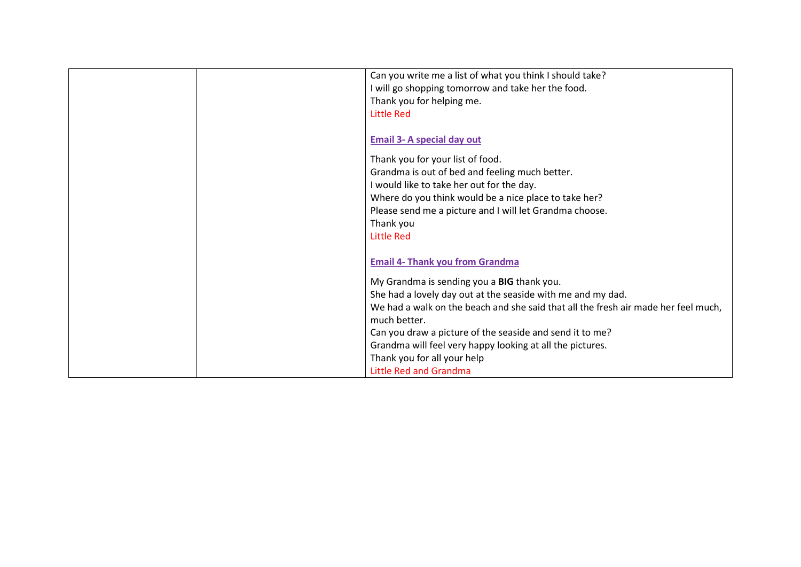| Can you write me a list of what you think I should take?                           |
|------------------------------------------------------------------------------------|
| I will go shopping tomorrow and take her the food.                                 |
| Thank you for helping me.                                                          |
| <b>Little Red</b>                                                                  |
|                                                                                    |
| <b>Email 3- A special day out</b>                                                  |
| Thank you for your list of food.                                                   |
| Grandma is out of bed and feeling much better.                                     |
| I would like to take her out for the day.                                          |
| Where do you think would be a nice place to take her?                              |
| Please send me a picture and I will let Grandma choose.                            |
| Thank you                                                                          |
| <b>Little Red</b>                                                                  |
|                                                                                    |
| <b>Email 4- Thank you from Grandma</b>                                             |
|                                                                                    |
| My Grandma is sending you a BIG thank you.                                         |
| She had a lovely day out at the seaside with me and my dad.                        |
| We had a walk on the beach and she said that all the fresh air made her feel much, |
| much better.                                                                       |
| Can you draw a picture of the seaside and send it to me?                           |
| Grandma will feel very happy looking at all the pictures.                          |
| Thank you for all your help                                                        |
| <b>Little Red and Grandma</b>                                                      |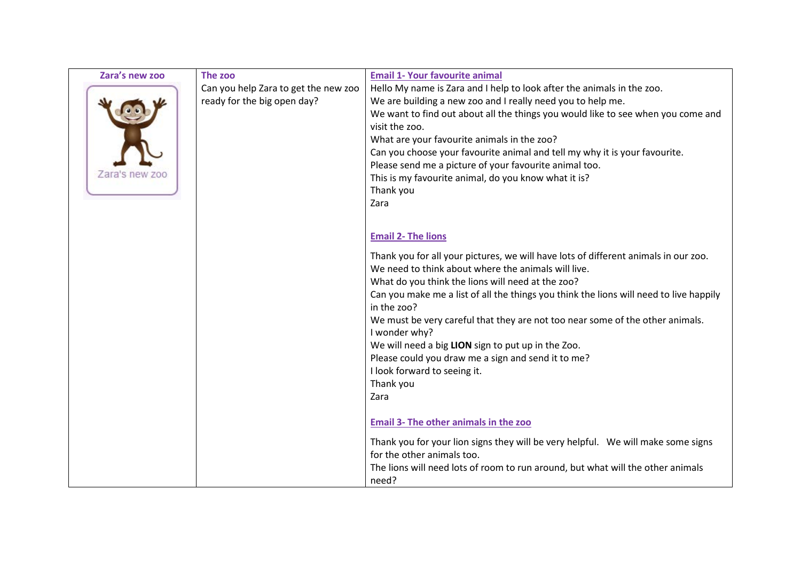| Zara's new zoo | The zoo                              | <b>Email 1- Your favourite animal</b>                                                  |
|----------------|--------------------------------------|----------------------------------------------------------------------------------------|
|                | Can you help Zara to get the new zoo | Hello My name is Zara and I help to look after the animals in the zoo.                 |
|                | ready for the big open day?          | We are building a new zoo and I really need you to help me.                            |
|                |                                      | We want to find out about all the things you would like to see when you come and       |
|                |                                      | visit the zoo.                                                                         |
|                |                                      | What are your favourite animals in the zoo?                                            |
|                |                                      | Can you choose your favourite animal and tell my why it is your favourite.             |
|                |                                      | Please send me a picture of your favourite animal too.                                 |
| Zara's new zoo |                                      | This is my favourite animal, do you know what it is?                                   |
|                |                                      | Thank you                                                                              |
|                |                                      | Zara                                                                                   |
|                |                                      |                                                                                        |
|                |                                      | <b>Email 2- The lions</b>                                                              |
|                |                                      |                                                                                        |
|                |                                      | Thank you for all your pictures, we will have lots of different animals in our zoo.    |
|                |                                      | We need to think about where the animals will live.                                    |
|                |                                      | What do you think the lions will need at the zoo?                                      |
|                |                                      | Can you make me a list of all the things you think the lions will need to live happily |
|                |                                      | in the zoo?                                                                            |
|                |                                      | We must be very careful that they are not too near some of the other animals.          |
|                |                                      | I wonder why?                                                                          |
|                |                                      | We will need a big LION sign to put up in the Zoo.                                     |
|                |                                      | Please could you draw me a sign and send it to me?                                     |
|                |                                      | I look forward to seeing it.                                                           |
|                |                                      | Thank you                                                                              |
|                |                                      | Zara                                                                                   |
|                |                                      |                                                                                        |
|                |                                      | Email 3- The other animals in the zoo                                                  |
|                |                                      | Thank you for your lion signs they will be very helpful. We will make some signs       |
|                |                                      | for the other animals too.                                                             |
|                |                                      | The lions will need lots of room to run around, but what will the other animals        |
|                |                                      | need?                                                                                  |
|                |                                      |                                                                                        |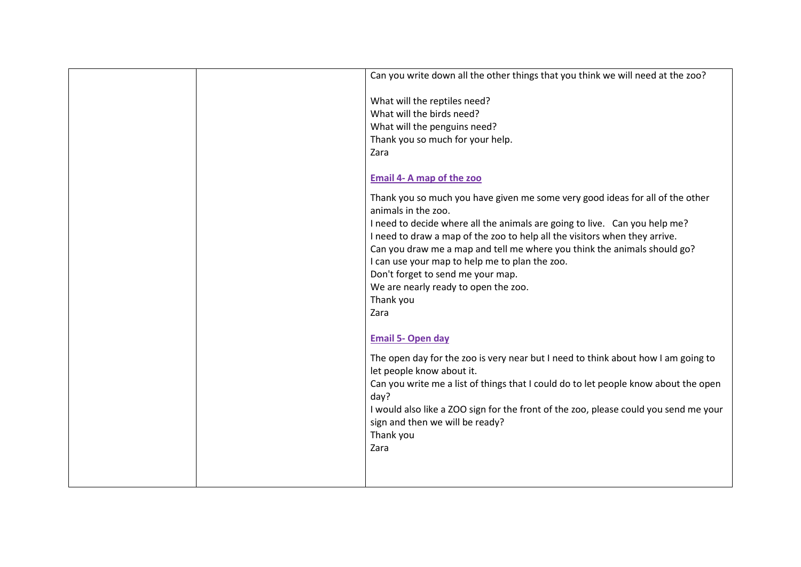|  | Can you write down all the other things that you think we will need at the zoo?                                |
|--|----------------------------------------------------------------------------------------------------------------|
|  | What will the reptiles need?                                                                                   |
|  | What will the birds need?                                                                                      |
|  | What will the penguins need?                                                                                   |
|  | Thank you so much for your help.                                                                               |
|  | Zara                                                                                                           |
|  | Email 4- A map of the zoo                                                                                      |
|  | Thank you so much you have given me some very good ideas for all of the other<br>animals in the zoo.           |
|  | I need to decide where all the animals are going to live. Can you help me?                                     |
|  | I need to draw a map of the zoo to help all the visitors when they arrive.                                     |
|  | Can you draw me a map and tell me where you think the animals should go?                                       |
|  | I can use your map to help me to plan the zoo.                                                                 |
|  | Don't forget to send me your map.                                                                              |
|  | We are nearly ready to open the zoo.                                                                           |
|  | Thank you                                                                                                      |
|  | Zara                                                                                                           |
|  | <b>Email 5- Open day</b>                                                                                       |
|  | The open day for the zoo is very near but I need to think about how I am going to<br>let people know about it. |
|  | Can you write me a list of things that I could do to let people know about the open                            |
|  | day?                                                                                                           |
|  | I would also like a ZOO sign for the front of the zoo, please could you send me your                           |
|  | sign and then we will be ready?                                                                                |
|  | Thank you                                                                                                      |
|  | Zara                                                                                                           |
|  |                                                                                                                |
|  |                                                                                                                |
|  |                                                                                                                |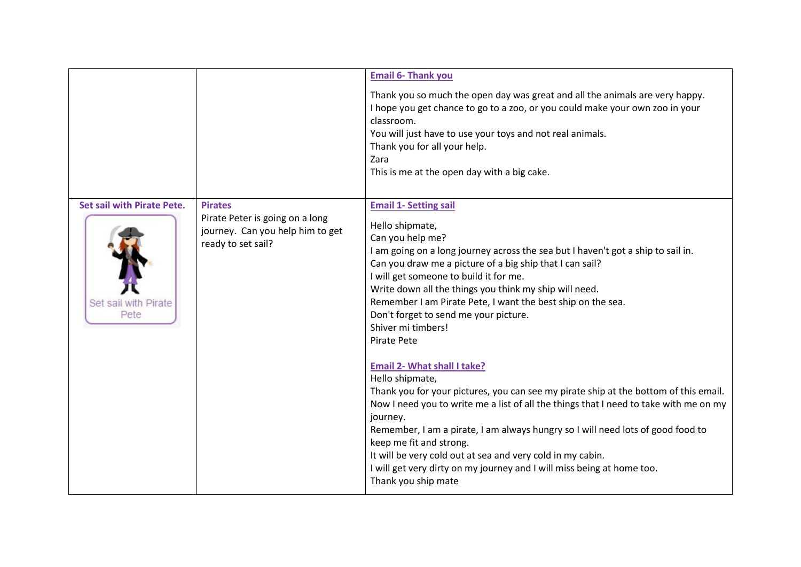|                                                                   |                                                                                                             | <b>Email 6- Thank you</b>                                                                                                                                                                                                                                                                                                                                                                                                                                                                                                                                                                                                                                                                                                                                                                                                                                                                                                                                                                               |
|-------------------------------------------------------------------|-------------------------------------------------------------------------------------------------------------|---------------------------------------------------------------------------------------------------------------------------------------------------------------------------------------------------------------------------------------------------------------------------------------------------------------------------------------------------------------------------------------------------------------------------------------------------------------------------------------------------------------------------------------------------------------------------------------------------------------------------------------------------------------------------------------------------------------------------------------------------------------------------------------------------------------------------------------------------------------------------------------------------------------------------------------------------------------------------------------------------------|
|                                                                   |                                                                                                             | Thank you so much the open day was great and all the animals are very happy.<br>I hope you get chance to go to a zoo, or you could make your own zoo in your<br>classroom.<br>You will just have to use your toys and not real animals.<br>Thank you for all your help.<br>Zara<br>This is me at the open day with a big cake.                                                                                                                                                                                                                                                                                                                                                                                                                                                                                                                                                                                                                                                                          |
| <b>Set sail with Pirate Pete.</b><br>Set sail with Pirate<br>Pete | <b>Pirates</b><br>Pirate Peter is going on a long<br>journey. Can you help him to get<br>ready to set sail? | <b>Email 1- Setting sail</b><br>Hello shipmate,<br>Can you help me?<br>I am going on a long journey across the sea but I haven't got a ship to sail in.<br>Can you draw me a picture of a big ship that I can sail?<br>I will get someone to build it for me.<br>Write down all the things you think my ship will need.<br>Remember I am Pirate Pete, I want the best ship on the sea.<br>Don't forget to send me your picture.<br>Shiver mi timbers!<br>Pirate Pete<br><b>Email 2- What shall I take?</b><br>Hello shipmate,<br>Thank you for your pictures, you can see my pirate ship at the bottom of this email.<br>Now I need you to write me a list of all the things that I need to take with me on my<br>journey.<br>Remember, I am a pirate, I am always hungry so I will need lots of good food to<br>keep me fit and strong.<br>It will be very cold out at sea and very cold in my cabin.<br>I will get very dirty on my journey and I will miss being at home too.<br>Thank you ship mate |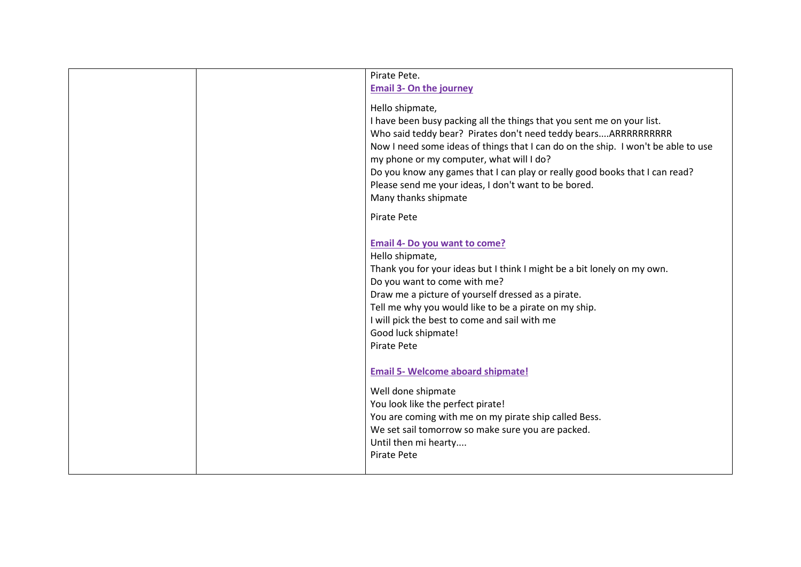| Pirate Pete.                                                                      |
|-----------------------------------------------------------------------------------|
| <b>Email 3- On the journey</b>                                                    |
| Hello shipmate,                                                                   |
| I have been busy packing all the things that you sent me on your list.            |
| Who said teddy bear? Pirates don't need teddy bearsARRRRRRRRRR                    |
| Now I need some ideas of things that I can do on the ship. I won't be able to use |
| my phone or my computer, what will I do?                                          |
| Do you know any games that I can play or really good books that I can read?       |
| Please send me your ideas, I don't want to be bored.                              |
| Many thanks shipmate                                                              |
| Pirate Pete                                                                       |
|                                                                                   |
| <b>Email 4- Do you want to come?</b>                                              |
| Hello shipmate,                                                                   |
| Thank you for your ideas but I think I might be a bit lonely on my own.           |
| Do you want to come with me?                                                      |
| Draw me a picture of yourself dressed as a pirate.                                |
| Tell me why you would like to be a pirate on my ship.                             |
| I will pick the best to come and sail with me<br>Good luck shipmate!              |
| Pirate Pete                                                                       |
|                                                                                   |
| <b>Email 5- Welcome aboard shipmate!</b>                                          |
| Well done shipmate                                                                |
| You look like the perfect pirate!                                                 |
| You are coming with me on my pirate ship called Bess.                             |
| We set sail tomorrow so make sure you are packed.                                 |
| Until then mi hearty                                                              |
| Pirate Pete                                                                       |
|                                                                                   |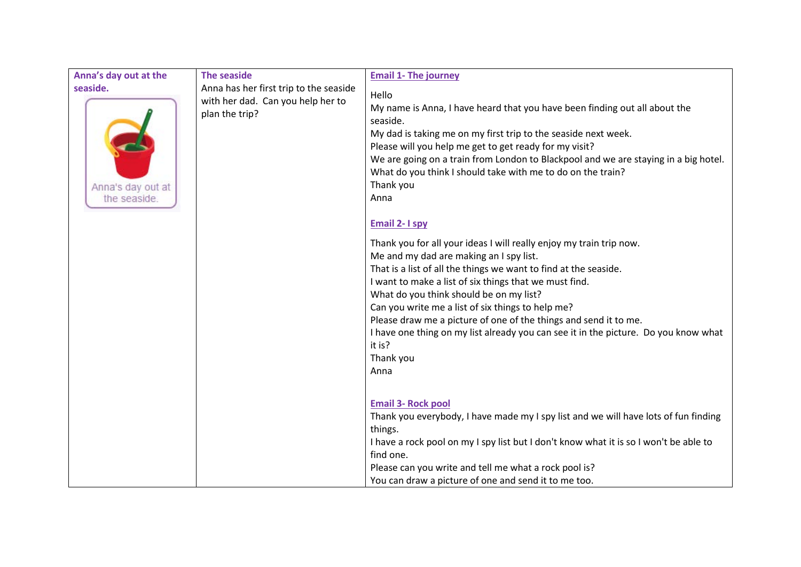| Anna's day out at the                         | <b>The seaside</b>                                                                            | <b>Email 1- The journey</b>                                                                                                                                                                                                                                                                                                                                                                                                                                                                                                                                                                                                                                                                                                                                                                                                                                                                                                                                              |
|-----------------------------------------------|-----------------------------------------------------------------------------------------------|--------------------------------------------------------------------------------------------------------------------------------------------------------------------------------------------------------------------------------------------------------------------------------------------------------------------------------------------------------------------------------------------------------------------------------------------------------------------------------------------------------------------------------------------------------------------------------------------------------------------------------------------------------------------------------------------------------------------------------------------------------------------------------------------------------------------------------------------------------------------------------------------------------------------------------------------------------------------------|
| seaside.<br>Anna's day out at<br>the seaside. | Anna has her first trip to the seaside<br>with her dad. Can you help her to<br>plan the trip? | Hello<br>My name is Anna, I have heard that you have been finding out all about the<br>seaside.<br>My dad is taking me on my first trip to the seaside next week.<br>Please will you help me get to get ready for my visit?<br>We are going on a train from London to Blackpool and we are staying in a big hotel.<br>What do you think I should take with me to do on the train?<br>Thank you<br>Anna<br><b>Email 2-1 spy</b><br>Thank you for all your ideas I will really enjoy my train trip now.<br>Me and my dad are making an I spy list.<br>That is a list of all the things we want to find at the seaside.<br>I want to make a list of six things that we must find.<br>What do you think should be on my list?<br>Can you write me a list of six things to help me?<br>Please draw me a picture of one of the things and send it to me.<br>I have one thing on my list already you can see it in the picture. Do you know what<br>it is?<br>Thank you<br>Anna |
|                                               |                                                                                               | <b>Email 3- Rock pool</b><br>Thank you everybody, I have made my I spy list and we will have lots of fun finding<br>things.<br>I have a rock pool on my I spy list but I don't know what it is so I won't be able to<br>find one.<br>Please can you write and tell me what a rock pool is?<br>You can draw a picture of one and send it to me too.                                                                                                                                                                                                                                                                                                                                                                                                                                                                                                                                                                                                                       |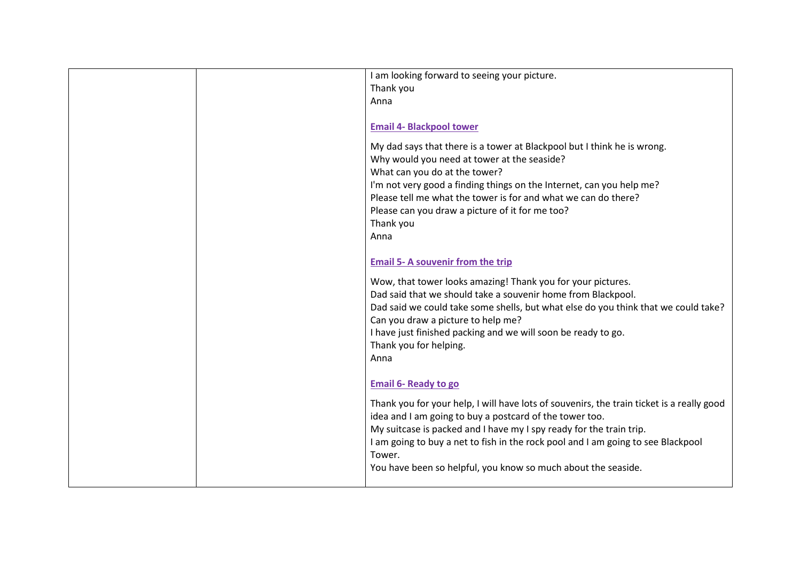| I am looking forward to seeing your picture.                                              |
|-------------------------------------------------------------------------------------------|
| Thank you                                                                                 |
| Anna                                                                                      |
|                                                                                           |
| <b>Email 4- Blackpool tower</b>                                                           |
|                                                                                           |
| My dad says that there is a tower at Blackpool but I think he is wrong.                   |
| Why would you need at tower at the seaside?                                               |
| What can you do at the tower?                                                             |
| I'm not very good a finding things on the Internet, can you help me?                      |
| Please tell me what the tower is for and what we can do there?                            |
| Please can you draw a picture of it for me too?                                           |
| Thank you                                                                                 |
| Anna                                                                                      |
|                                                                                           |
|                                                                                           |
| <b>Email 5- A souvenir from the trip</b>                                                  |
| Wow, that tower looks amazing! Thank you for your pictures.                               |
| Dad said that we should take a souvenir home from Blackpool.                              |
| Dad said we could take some shells, but what else do you think that we could take?        |
| Can you draw a picture to help me?                                                        |
| I have just finished packing and we will soon be ready to go.                             |
| Thank you for helping.                                                                    |
| Anna                                                                                      |
|                                                                                           |
|                                                                                           |
| <b>Email 6- Ready to go</b>                                                               |
| Thank you for your help, I will have lots of souvenirs, the train ticket is a really good |
| idea and I am going to buy a postcard of the tower too.                                   |
| My suitcase is packed and I have my I spy ready for the train trip.                       |
| I am going to buy a net to fish in the rock pool and I am going to see Blackpool          |
| Tower.                                                                                    |
|                                                                                           |
| You have been so helpful, you know so much about the seaside.                             |
|                                                                                           |